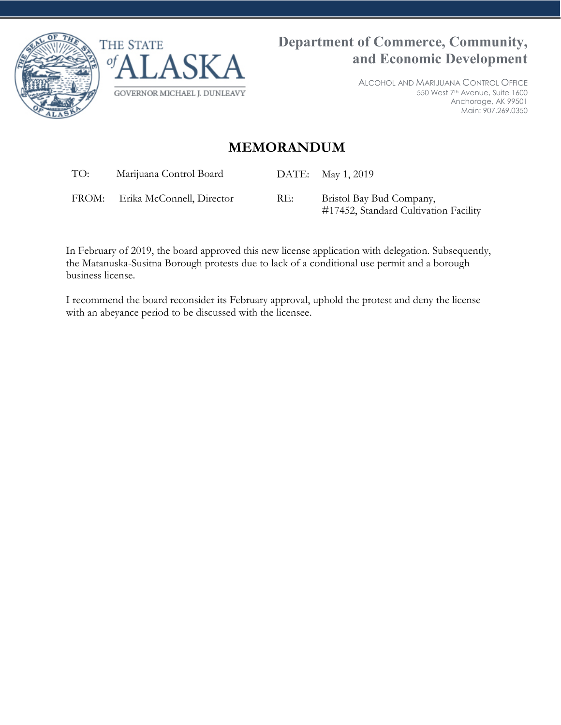



ALCOHOL AND MARIJUANA CONTROL OFFICE 550 West 7th Avenue, Suite 1600 Anchorage, AK 99501 Main: 907.269.0350

## **MEMORANDUM**

TO: Marijuana Control Board DATE: May 1, 2019

FROM: Erika McConnell, Director RE: Bristol Bay Bud Company,

#17452, Standard Cultivation Facility

In February of 2019, the board approved this new license application with delegation. Subsequently, the Matanuska-Susitna Borough protests due to lack of a conditional use permit and a borough business license.

I recommend the board reconsider its February approval, uphold the protest and deny the license with an abeyance period to be discussed with the licensee.